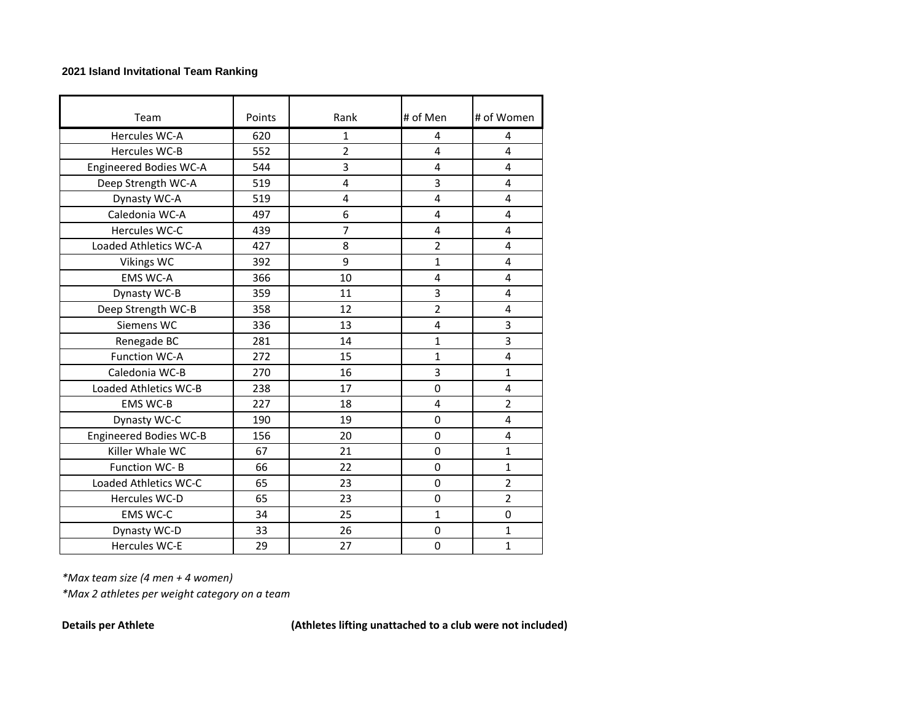## **2021 Island Invitational Team Ranking**

| Team                          | Points | Rank           | # of Men       | # of Women     |
|-------------------------------|--------|----------------|----------------|----------------|
| Hercules WC-A                 | 620    | $\mathbf{1}$   | 4              | 4              |
| Hercules WC-B                 | 552    | $\overline{2}$ | 4              | 4              |
| <b>Engineered Bodies WC-A</b> | 544    | 3              | 4              | 4              |
| Deep Strength WC-A            | 519    | 4              | 3              | 4              |
| Dynasty WC-A                  | 519    | 4              | 4              | 4              |
| Caledonia WC-A                | 497    | 6              | 4              | 4              |
| Hercules WC-C                 | 439    | $\overline{7}$ | 4              | 4              |
| Loaded Athletics WC-A         | 427    | 8              | $\overline{2}$ | 4              |
| <b>Vikings WC</b>             | 392    | 9              | 1              | 4              |
| <b>EMS WC-A</b>               | 366    | 10             | 4              | 4              |
| Dynasty WC-B                  | 359    | 11             | 3              | 4              |
| Deep Strength WC-B            | 358    | 12             | $\overline{c}$ | 4              |
| Siemens WC                    | 336    | 13             | 4              | 3              |
| Renegade BC                   | 281    | 14             | 1              | 3              |
| <b>Function WC-A</b>          | 272    | 15             | 1              | 4              |
| Caledonia WC-B                | 270    | 16             | 3              | $\mathbf{1}$   |
| Loaded Athletics WC-B         | 238    | 17             | 0              | 4              |
| <b>EMS WC-B</b>               | 227    | 18             | 4              | $\overline{2}$ |
| Dynasty WC-C                  | 190    | 19             | $\mathbf 0$    | 4              |
| <b>Engineered Bodies WC-B</b> | 156    | 20             | 0              | 4              |
| Killer Whale WC               | 67     | 21             | $\mathbf 0$    | $\mathbf{1}$   |
| <b>Function WC-B</b>          | 66     | 22             | $\Omega$       | $\mathbf{1}$   |
| Loaded Athletics WC-C         | 65     | 23             | 0              | $\overline{2}$ |
| Hercules WC-D                 | 65     | 23             | 0              | $\overline{2}$ |
| <b>EMS WC-C</b>               | 34     | 25             | 1              | 0              |
| Dynasty WC-D                  | 33     | 26             | $\mathbf 0$    | $\mathbf{1}$   |
| <b>Hercules WC-E</b>          | 29     | 27             | $\mathbf 0$    | $\mathbf{1}$   |

*\*Max team size (4 men + 4 women)*

*\*Max 2 athletes per weight category on a team*

**Details per Athlete (Athletes lifting unattached to a club were not included)**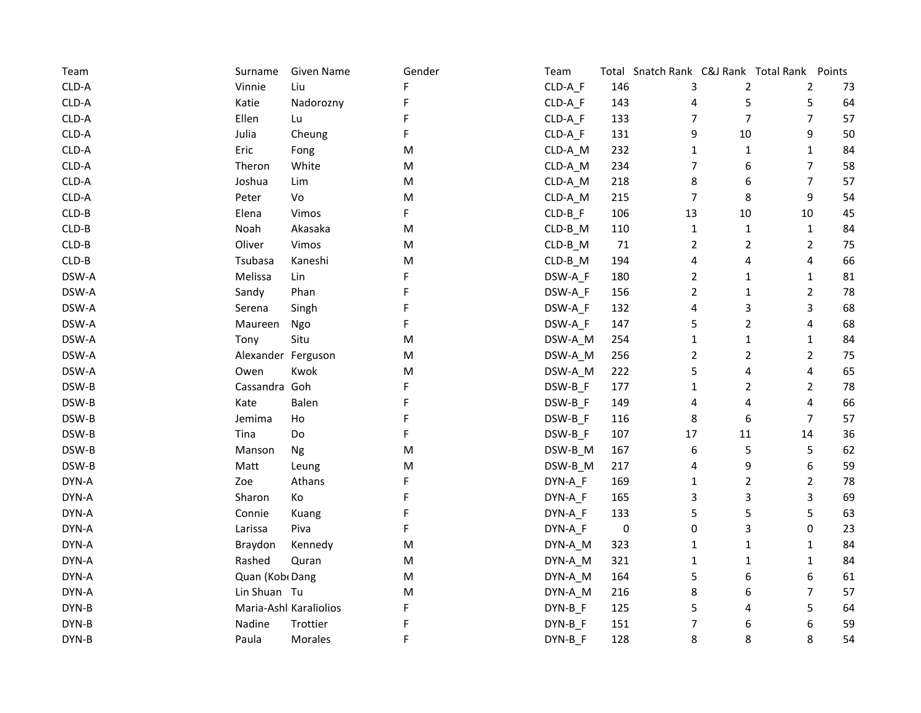| Team    | Surname            | Given Name             | Gender    | Team                   |           | Total Snatch Rank C&J Rank Total Rank Points |                |                         |    |
|---------|--------------------|------------------------|-----------|------------------------|-----------|----------------------------------------------|----------------|-------------------------|----|
| CLD-A   | Vinnie             | Liu                    |           | CLD-A F                | 146       | 3                                            | $\overline{2}$ | $\overline{2}$          | 73 |
| CLD-A   | Katie              | Nadorozny              |           | CLD-A_F                | 143       | 4                                            | 5              | 5                       | 64 |
| CLD-A   | Ellen              | Lu                     |           | CLD-A_F                | 133       | 7                                            | $\overline{7}$ | $\overline{7}$          | 57 |
| CLD-A   | Julia              | Cheung                 | F         | CLD-A F                | 131       | 9                                            | $10\,$         | 9                       | 50 |
| CLD-A   | Eric               | Fong                   | M         | CLD-A_M                | 232       | $\mathbf{1}$                                 | $\mathbf{1}$   | $\mathbf{1}$            | 84 |
| CLD-A   | Theron             | White                  | M         | CLD-A_M                | 234       | 7                                            | 6              | $\overline{7}$          | 58 |
| CLD-A   | Joshua             | Lim                    | ${\sf M}$ | CLD-A_M                | 218       | 8                                            | 6              | $\overline{7}$          | 57 |
| CLD-A   | Peter              | Vo                     | M         | CLD-A_M                | 215       | $\overline{7}$                               | 8              | 9                       | 54 |
| CLD-B   | Elena              | Vimos                  | F         | $CLD-B_F$              | 106       | 13                                           | $10\,$         | 10                      | 45 |
| $CLD-B$ | Noah               | Akasaka                | M         | $CLD-B$ <sub>_</sub> M | 110       | $\mathbf{1}$                                 | $\mathbf{1}$   | $\mathbf{1}$            | 84 |
| $CLD-B$ | Oliver             | Vimos                  | M         | $CLD-B$ <sub>_</sub> M | 71        | $\overline{2}$                               | $\overline{2}$ | $\overline{2}$          | 75 |
| $CLD-B$ | Tsubasa            | Kaneshi                | M         | $CLD-B$ <sub>_</sub> M | 194       | 4                                            | 4              | $\overline{\mathbf{4}}$ | 66 |
| DSW-A   | Melissa            | Lin                    | F         | DSW-A F                | 180       | $\overline{2}$                               | $\mathbf{1}$   | $\mathbf{1}$            | 81 |
| DSW-A   | Sandy              | Phan                   | F         | DSW-A_F                | 156       | $\overline{2}$                               | 1              | $\mathbf{2}$            | 78 |
| DSW-A   | Serena             | Singh                  | F         | DSW-A F                | 132       | 4                                            | 3              | 3                       | 68 |
| DSW-A   | Maureen            | Ngo                    | F         | DSW-A_F                | 147       | 5                                            | $\overline{2}$ | 4                       | 68 |
| DSW-A   | Tony               | Situ                   | M         | DSW-A_M                | 254       | 1                                            | $\mathbf{1}$   | $\mathbf{1}$            | 84 |
| DSW-A   | Alexander Ferguson |                        | M         | DSW-A_M                | 256       | $\overline{2}$                               | $\overline{2}$ | $\mathbf{2}$            | 75 |
| DSW-A   | Owen               | Kwok                   | M         | DSW-A_M                | 222       | 5                                            | 4              | $\overline{4}$          | 65 |
| DSW-B   | Cassandra Goh      |                        | F         | DSW-B_F                | 177       | $\mathbf{1}$                                 | $\overline{2}$ | $\overline{2}$          | 78 |
| DSW-B   | Kate               | Balen                  | F         | DSW-B_F                | 149       | 4                                            | 4              | 4                       | 66 |
| DSW-B   | Jemima             | Ho                     | F         | DSW-B_F                | 116       | 8                                            | 6              | $\overline{7}$          | 57 |
| DSW-B   | Tina               | Do                     | F         | DSW-B F                | 107       | 17                                           | 11             | 14                      | 36 |
| DSW-B   | Manson             | Ng                     | Μ         | DSW-B_M                | 167       | 6                                            | 5              | 5                       | 62 |
| DSW-B   | Matt               | Leung                  | M         | DSW-B_M                | 217       | 4                                            | 9              | 6                       | 59 |
| DYN-A   | Zoe                | Athans                 | F         | DYN-A_F                | 169       | 1                                            | $\overline{2}$ | $\overline{2}$          | 78 |
| DYN-A   | Sharon             | Ko                     | F         | DYN-A_F                | 165       | 3                                            | 3              | 3                       | 69 |
| DYN-A   | Connie             | Kuang                  | F         | DYN-A_F                | 133       | 5                                            | 5              | 5                       | 63 |
| DYN-A   | Larissa            | Piva                   | F         | DYN-A_F                | $\pmb{0}$ | 0                                            | 3              | 0                       | 23 |
| DYN-A   | Braydon            | Kennedy                | M         | DYN-A_M                | 323       | $\mathbf{1}$                                 | $\mathbf{1}$   | $\mathbf{1}$            | 84 |
| DYN-A   | Rashed             | Quran                  | M         | DYN-A_M                | 321       | $\mathbf{1}$                                 | 1              | $\mathbf{1}$            | 84 |
| DYN-A   | Quan (Kob Dang     |                        | M         | DYN-A_M                | 164       | 5                                            | 6              | 6                       | 61 |
| DYN-A   | Lin Shuan Tu       |                        | M         | DYN-A_M                | 216       | 8                                            | 6              | $\overline{7}$          | 57 |
| DYN-B   |                    | Maria-Ashl Karaliolios | F         | DYN-B_F                | 125       | 5                                            | 4              | 5                       | 64 |
| DYN-B   | Nadine             | Trottier               | F         | DYN-B_F                | 151       | 7                                            | 6              | 6                       | 59 |
| DYN-B   | Paula              | Morales                | F         | DYN-B F                | 128       | 8                                            | 8              | 8                       | 54 |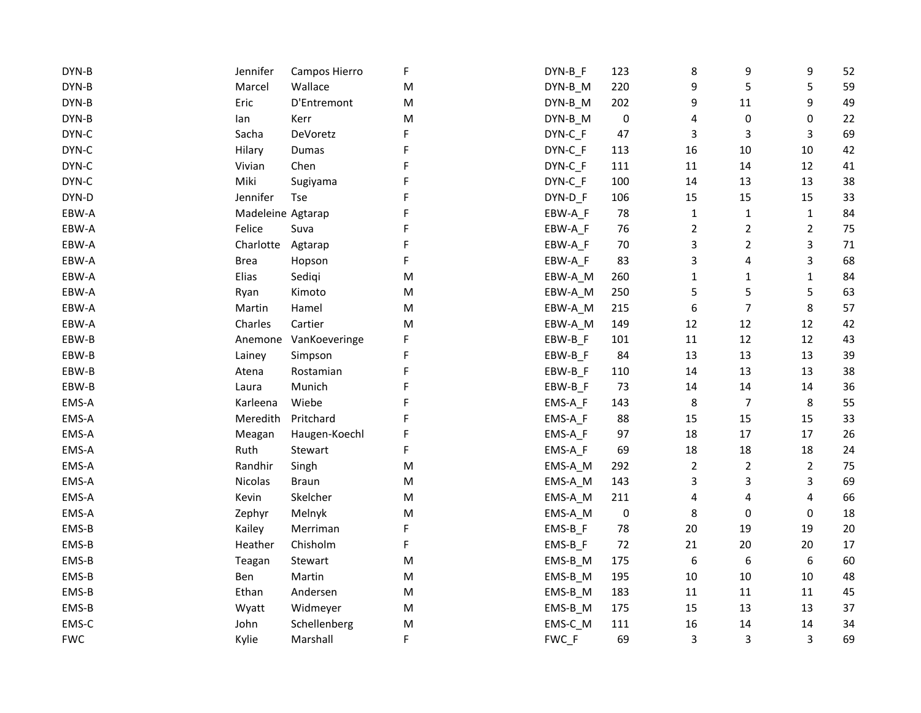| DYN-B      | Jennifer          | Campos Hierro | F | DYN-B_F   | 123       | 8              | 9                | 9              | 52 |
|------------|-------------------|---------------|---|-----------|-----------|----------------|------------------|----------------|----|
| DYN-B      | Marcel            | Wallace       | M | $DYN-B_M$ | 220       | 9              | 5                | 5              | 59 |
| DYN-B      | Eric              | D'Entremont   | M | DYN-B_M   | 202       | 9              | 11               | 9              | 49 |
| DYN-B      | lan               | Kerr          | M | DYN-B_M   | 0         | 4              | 0                | 0              | 22 |
| DYN-C      | Sacha             | DeVoretz      |   | DYN-C F   | 47        | 3              | 3                | 3              | 69 |
| DYN-C      | Hilary            | Dumas         |   | DYN-C F   | 113       | 16             | $10\,$           | $10\,$         | 42 |
| DYN-C      | Vivian            | Chen          |   | DYN-C_F   | 111       | 11             | $14\,$           | 12             | 41 |
| DYN-C      | Miki              | Sugiyama      |   | DYN-C F   | 100       | 14             | 13               | 13             | 38 |
| DYN-D      | Jennifer          | <b>Tse</b>    |   | DYN-D F   | 106       | 15             | 15               | 15             | 33 |
| EBW-A      | Madeleine Agtarap |               | F | EBW-A_F   | 78        | $\mathbf{1}$   | $\mathbf{1}$     | $\mathbf{1}$   | 84 |
| EBW-A      | Felice            | Suva          | F | EBW-A_F   | 76        | $\overline{2}$ | $\overline{2}$   | $\overline{2}$ | 75 |
| EBW-A      | Charlotte         | Agtarap       | F | EBW-A_F   | 70        | 3              | $\overline{2}$   | 3              | 71 |
| EBW-A      | <b>Brea</b>       | Hopson        | F | EBW-A F   | 83        | 3              | 4                | 3              | 68 |
| EBW-A      | Elias             | Sedigi        | M | EBW-A_M   | 260       | 1              | $\mathbf{1}$     | $\mathbf{1}$   | 84 |
| EBW-A      | Ryan              | Kimoto        | M | EBW-A_M   | 250       | 5              | 5                | 5              | 63 |
| EBW-A      | Martin            | Hamel         | M | EBW-A_M   | 215       | 6              | 7                | 8              | 57 |
| EBW-A      | Charles           | Cartier       | M | EBW-A_M   | 149       | 12             | $12\,$           | 12             | 42 |
| EBW-B      | Anemone           | VanKoeveringe | F | EBW-B_F   | 101       | 11             | 12               | 12             | 43 |
| EBW-B      | Lainey            | Simpson       |   | EBW-B F   | 84        | 13             | 13               | 13             | 39 |
| EBW-B      | Atena             | Rostamian     |   | EBW-B_F   | 110       | 14             | 13               | 13             | 38 |
| EBW-B      | Laura             | Munich        |   | EBW-B_F   | 73        | 14             | 14               | 14             | 36 |
| EMS-A      | Karleena          | Wiebe         |   | EMS-A_F   | 143       | 8              | $\boldsymbol{7}$ | 8              | 55 |
| EMS-A      | Meredith          | Pritchard     |   | EMS-A_F   | 88        | 15             | 15               | 15             | 33 |
| EMS-A      | Meagan            | Haugen-Koechl |   | EMS-A_F   | 97        | 18             | 17               | 17             | 26 |
| EMS-A      | Ruth              | Stewart       | F | EMS-A_F   | 69        | 18             | 18               | 18             | 24 |
| EMS-A      | Randhir           | Singh         | M | EMS-A_M   | 292       | $\overline{2}$ | $\overline{2}$   | $\overline{2}$ | 75 |
| EMS-A      | Nicolas           | <b>Braun</b>  | M | EMS-A_M   | 143       | 3              | 3                | 3              | 69 |
| EMS-A      | Kevin             | Skelcher      | M | EMS-A_M   | 211       | 4              | 4                | 4              | 66 |
| EMS-A      | Zephyr            | Melnyk        | M | EMS-A_M   | $\pmb{0}$ | 8              | 0                | 0              | 18 |
| EMS-B      | Kailey            | Merriman      | F | $EMS-B_F$ | 78        | 20             | 19               | 19             | 20 |
| EMS-B      | Heather           | Chisholm      | F | $EMS-B_F$ | 72        | 21             | 20               | 20             | 17 |
| EMS-B      | Teagan            | Stewart       | M | EMS-B_M   | 175       | 6              | 6                | 6              | 60 |
| EMS-B      | Ben               | Martin        | M | EMS-B_M   | 195       | 10             | $10\,$           | 10             | 48 |
| EMS-B      | Ethan             | Andersen      | M | EMS-B_M   | 183       | 11             | 11               | 11             | 45 |
| EMS-B      | Wyatt             | Widmeyer      | M | EMS-B_M   | 175       | 15             | 13               | 13             | 37 |
| EMS-C      | John              | Schellenberg  | M | EMS-C_M   | 111       | 16             | 14               | 14             | 34 |
| <b>FWC</b> | Kylie             | Marshall      | F | FWC_F     | 69        | 3              | 3                | 3              | 69 |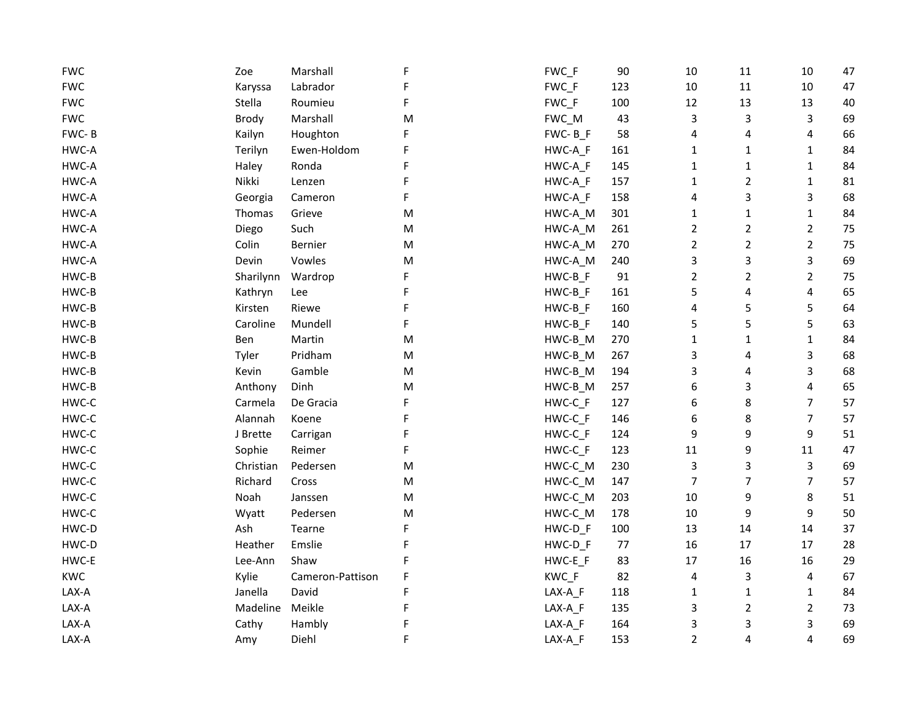| <b>FWC</b> | Zoe          | Marshall         | F | FWC_F   | 90  | $10\,$         | $11\,$         | $10\,$         | 47 |
|------------|--------------|------------------|---|---------|-----|----------------|----------------|----------------|----|
| <b>FWC</b> | Karyssa      | Labrador         |   | FWC_F   | 123 | 10             | $11\,$         | $10\,$         | 47 |
| <b>FWC</b> | Stella       | Roumieu          | F | FWC_F   | 100 | 12             | 13             | 13             | 40 |
| <b>FWC</b> | <b>Brody</b> | Marshall         | M | FWC_M   | 43  | 3              | 3              | 3              | 69 |
| FWC-B      | Kailyn       | Houghton         | F | FWC-BF  | 58  | 4              | 4              | 4              | 66 |
| HWC-A      | Terilyn      | Ewen-Holdom      |   | HWC-A_F | 161 | $\mathbf{1}$   | 1              | $\mathbf{1}$   | 84 |
| HWC-A      | Haley        | Ronda            | F | HWC-A_F | 145 | 1              | 1              | $\mathbf{1}$   | 84 |
| HWC-A      | Nikki        | Lenzen           | F | HWC-A_F | 157 | $\mathbf{1}$   | $\overline{2}$ | $\mathbf 1$    | 81 |
| HWC-A      | Georgia      | Cameron          | F | HWC-A_F | 158 | 4              | 3              | 3              | 68 |
| HWC-A      | Thomas       | Grieve           | M | HWC-A_M | 301 | $\mathbf{1}$   | 1              | $\mathbf{1}$   | 84 |
| HWC-A      | Diego        | Such             | M | HWC-A_M | 261 | $\overline{2}$ | $\overline{2}$ | $\overline{2}$ | 75 |
| HWC-A      | Colin        | Bernier          | M | HWC-A_M | 270 | $\overline{2}$ | $\overline{2}$ | $\overline{2}$ | 75 |
| HWC-A      | Devin        | Vowles           | M | HWC-A_M | 240 | 3              | 3              | 3              | 69 |
| HWC-B      | Sharilynn    | Wardrop          | F | HWC-B_F | 91  | $\overline{2}$ | $\overline{2}$ | $\overline{2}$ | 75 |
| HWC-B      | Kathryn      | Lee              | F | HWC-B_F | 161 | 5              | 4              | 4              | 65 |
| HWC-B      | Kirsten      | Riewe            | F | HWC-B_F | 160 | 4              | 5              | 5              | 64 |
| HWC-B      | Caroline     | Mundell          | F | HWC-B_F | 140 | 5              | 5              | 5              | 63 |
| HWC-B      | Ben          | Martin           | M | HWC-B_M | 270 | $\mathbf{1}$   | 1              | $\mathbf 1$    | 84 |
| HWC-B      | Tyler        | Pridham          | M | HWC-B_M | 267 | 3              | 4              | 3              | 68 |
| HWC-B      | Kevin        | Gamble           | M | HWC-B_M | 194 | 3              | 4              | 3              | 68 |
| HWC-B      | Anthony      | Dinh             | M | HWC-B_M | 257 | 6              | 3              | 4              | 65 |
| HWC-C      | Carmela      | De Gracia        | F | HWC-C_F | 127 | 6              | 8              | 7              | 57 |
| HWC-C      | Alannah      | Koene            | F | HWC-C_F | 146 | 6              | 8              | 7              | 57 |
| HWC-C      | J Brette     | Carrigan         | F | HWC-C_F | 124 | 9              | 9              | 9              | 51 |
| HWC-C      | Sophie       | Reimer           | F | HWC-C_F | 123 | 11             | 9              | $11\,$         | 47 |
| HWC-C      | Christian    | Pedersen         | M | HWC-C_M | 230 | 3              | 3              | 3              | 69 |
| HWC-C      | Richard      | Cross            | M | HWC-C_M | 147 | $\overline{7}$ | 7              | 7              | 57 |
| HWC-C      | Noah         | Janssen          | M | HWC-C_M | 203 | 10             | 9              | 8              | 51 |
| HWC-C      | Wyatt        | Pedersen         | M | HWC-C_M | 178 | 10             | 9              | 9              | 50 |
| HWC-D      | Ash          | Tearne           | F | HWC-D_F | 100 | 13             | 14             | 14             | 37 |
| HWC-D      | Heather      | Emslie           | F | HWC-D_F | 77  | 16             | 17             | 17             | 28 |
| HWC-E      | Lee-Ann      | Shaw             | F | HWC-E_F | 83  | 17             | 16             | 16             | 29 |
| <b>KWC</b> | Kylie        | Cameron-Pattison | F | KWC_F   | 82  | 4              | 3              | 4              | 67 |
| LAX-A      | Janella      | David            | F | LAX-A_F | 118 | $\mathbf{1}$   | 1              | $\mathbf{1}$   | 84 |
| LAX-A      | Madeline     | Meikle           | F | LAX-A_F | 135 | 3              | $\overline{2}$ | 2              | 73 |
| LAX-A      | Cathy        | Hambly           |   | LAX-A_F | 164 | 3              | 3              | 3              | 69 |
| LAX-A      | Amy          | Diehl            | F | LAX-A_F | 153 | $\overline{2}$ | 4              | 4              | 69 |